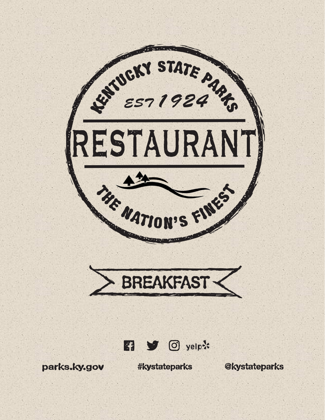





parks.ky.gov

**#kystateparks** 

**Exterior Contract Contract Contract Contract Contract Contract Contract Contract Contract Contract Contract Contract Contract Contract Contract Contract Contract Contract Contract Contract Contract Contract Contract Contr**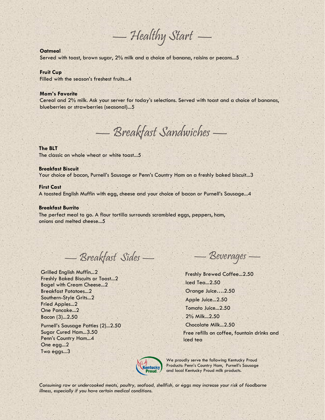$-$  Healthy Start  $-$ 

# **Oatmeal**

Served with toast, brown sugar, 2% milk and a choice of banana, raisins or pecans...5

## **Fruit Cup**

Filled with the season's freshest fruits...4

#### **Mom's Favorite**

Cereal and 2% milk. Ask your server for today's selections. Served with toast and a choice of bananas, blueberries or strawberries (seasonal)...5

—Breakfast Sandwiches —

## **The BLT**

The classic on whole wheat or white toast...5

## **Breakfast Biscuit**

Your choice of bacon, Purnell's Sausage or Penn's Country Ham on a freshly baked biscuit...3

#### **First Cast**

A toasted English Muffin with egg, cheese and your choice of bacon or Purnell's Sausage...4

## **Breakfast Burrito**

The perfect meal to go. A flour tortilla surrounds scrambled eggs, peppers, ham, onions and melted cheese...5

—Breakfast Sides —

Grilled English Muffin...2 Freshly Baked Biscuits or Toast...2 Bagel with Cream Cheese...2 Breakfast Potatoes...2 Southern-Style Grits...2 Fried Apples...2 One Pancake...2 Bacon (3)...2.50

Purnell's Sausage Patties (2)...2.50 Sugar Cured Ham...3.50 Penn's Country Ham...4 One egg...2 Two eggs...3

—Beverages —

Freshly Brewed Coffee...2.50 Iced Tea...2.50 Orange Juice….2.50 Apple Juice...2.50 Tomato Juice...2.50 2% Milk...2.50 Chocolate Milk...2.50 Free refills on coffee, fountain drinks and iced tea

Kentucky

We proudly serve the following Kentucky Proud Products: Penn's Country Ham, Purnell's Sausage and local Kentucky Proud milk products.

*Consuming raw or undercooked meats, poultry, seafood, shellfish, or eggs may increase your risk of foodborne illness, especially if you have certain medical conditions.*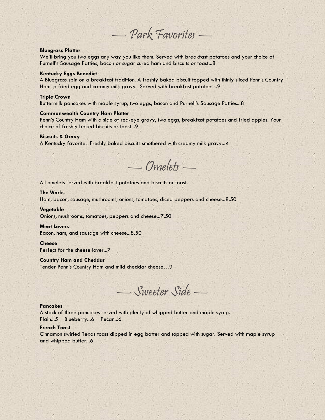—Park Favorites —

## **Bluegrass Platter**

We'll bring you two eggs any way you like them. Served with breakfast potatoes and your choice of Purnell's Sausage Patties, bacon or sugar cured ham and biscuits or toast...8

### **Kentucky Eggs Benedict**

A Bluegrass spin on a breakfast tradition. A freshly baked biscuit topped with thinly sliced Penn's Country Ham, a fried egg and creamy milk gravy. Served with breakfast potatoes...9

## **Triple Crown**

Buttermilk pancakes with maple syrup, two eggs, bacon and Purnell's Sausage Patties...8

# **Commonwealth Country Ham Platter**

Penn's Country Ham with a side of red-eye gravy, two eggs, breakfast potatoes and fried apples. Your choice of freshly baked biscuits or toast...9

## **Biscuits & Gravy**

A Kentucky favorite. Freshly baked biscuits smothered with creamy milk gravy...4

—Omelets —

All omelets served with breakfast potatoes and biscuits or toast.

# **The Works**

Ham, bacon, sausage, mushrooms, onions, tomatoes, diced peppers and cheese...8.50

## **Vegetable**

Onions, mushrooms, tomatoes, peppers and cheese...7.50

#### **Meat Lovers**

Bacon, ham, and sausage with cheese...8.50

#### **Cheese**

Perfect for the cheese lover...7

#### **Country Ham and Cheddar**

Tender Penn's Country Ham and mild cheddar cheese…9

—Sweeter Side —

# **Pancakes**

A stack of three pancakes served with plenty of whipped butter and maple syrup. Plain...5 Blueberry...6 Pecan...6

# **French Toast**

Cinnamon swirled Texas toast dipped in egg batter and topped with sugar. Served with maple syrup and whipped butter...6